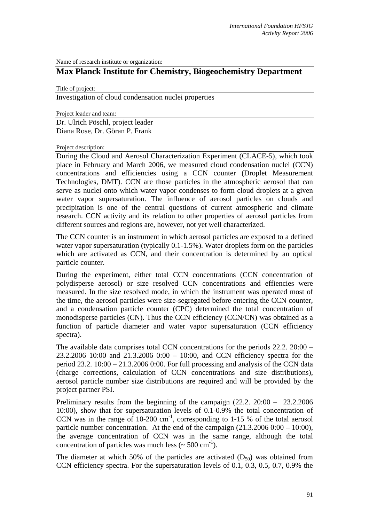Name of research institute or organization:

## **Max Planck Institute for Chemistry, Biogeochemistry Department**

Title of project:

Investigation of cloud condensation nuclei properties

Project leader and team:

Dr. Ulrich Pöschl, project leader Diana Rose, Dr. Göran P. Frank

Project description:

During the Cloud and Aerosol Characterization Experiment (CLACE-5), which took place in February and March 2006, we measured cloud condensation nuclei (CCN) concentrations and efficiencies using a CCN counter (Droplet Measurement Technologies, DMT). CCN are those particles in the atmospheric aerosol that can serve as nuclei onto which water vapor condenses to form cloud droplets at a given water vapor supersaturation. The influence of aerosol particles on clouds and precipitation is one of the central questions of current atmospheric and climate research. CCN activity and its relation to other properties of aerosol particles from different sources and regions are, however, not yet well characterized.

The CCN counter is an instrument in which aerosol particles are exposed to a defined water vapor supersaturation (typically 0.1-1.5%). Water droplets form on the particles which are activated as CCN, and their concentration is determined by an optical particle counter.

During the experiment, either total CCN concentrations (CCN concentration of polydisperse aerosol) or size resolved CCN concentrations and effiencies were measured. In the size resolved mode, in which the instrument was operated most of the time, the aerosol particles were size-segregated before entering the CCN counter, and a condensation particle counter (CPC) determined the total concentration of monodisperse particles (CN). Thus the CCN efficiency (CCN/CN) was obtained as a function of particle diameter and water vapor supersaturation (CCN efficiency spectra).

The available data comprises total CCN concentrations for the periods 22.2. 20:00 – 23.2.2006 10:00 and 21.3.2006 0:00 – 10:00, and CCN efficiency spectra for the period 23.2. 10:00 – 21.3.2006 0:00. For full processing and analysis of the CCN data (charge corrections, calculation of CCN concentrations and size distributions), aerosol particle number size distributions are required and will be provided by the project partner PSI.

Preliminary results from the beginning of the campaign (22.2. 20:00 – 23.2.2006 10:00), show that for supersaturation levels of 0.1-0.9% the total concentration of CCN was in the range of  $10{\text -}200 \text{ cm}^{-1}$ , corresponding to 1-15 % of the total aerosol particle number concentration. At the end of the campaign (21.3.2006 0:00 – 10:00), the average concentration of CCN was in the same range, although the total concentration of particles was much less ( $\sim$  500 cm<sup>-1</sup>).

The diameter at which 50% of the particles are activated  $(D_{50})$  was obtained from CCN efficiency spectra. For the supersaturation levels of 0.1, 0.3, 0.5, 0.7, 0.9% the